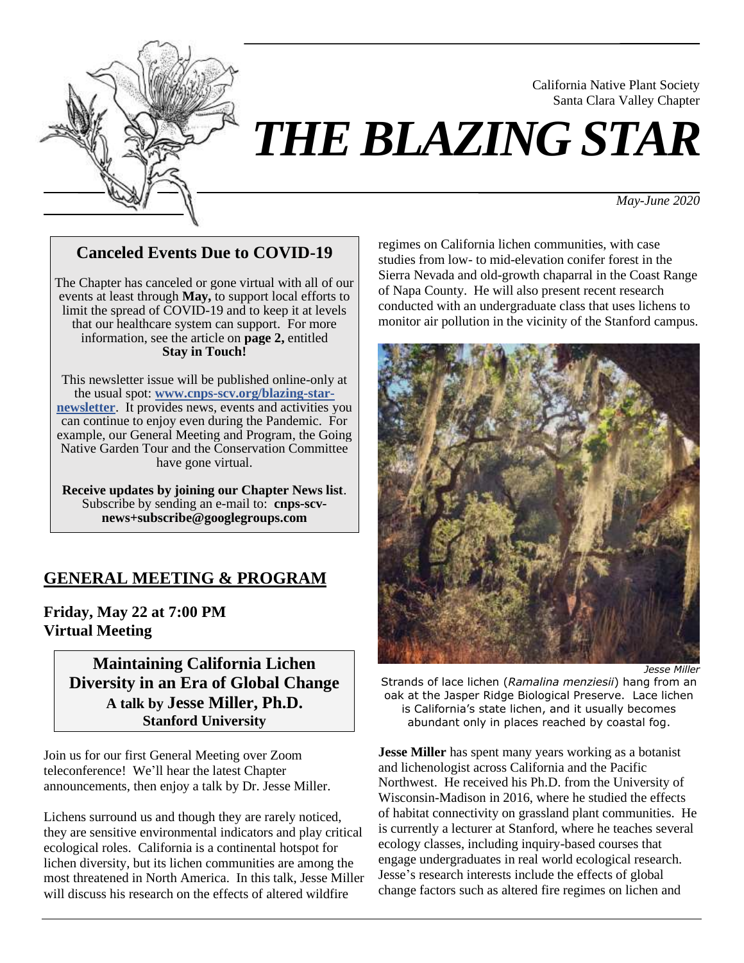

# *THE BLAZING STAR*

*May-June 2020*

California Native Plant Society Santa Clara Valley Chapter

# **Canceled Events Due to COVID-19**

The Chapter has canceled or gone virtual with all of our events at least through **May,** to support local efforts to limit the spread of COVID-19 and to keep it at levels that our healthcare system can support. For more information, see the article on **page 2,** entitled **Stay in Touch!**

This newsletter issue will be published online-only at the usual spot: **[www.cnps-scv.org/blazing-star](http://cnps-scv.org/blazing-star-newsletter)[newsletter](http://cnps-scv.org/blazing-star-newsletter)**. It provides news, events and activities you can continue to enjoy even during the Pandemic. For example, our General Meeting and Program, the Going Native Garden Tour and the Conservation Committee have gone virtual.

**Receive updates by joining our Chapter News list**. Subscribe by sending an e-mail to: **cnps-scvnews+subscribe@googlegroups.com**

# **GENERAL MEETING & PROGRAM**

**Friday, May 22 at 7:00 PM Virtual Meeting**

> **Maintaining California Lichen Diversity in an Era of Global Change A talk by Jesse Miller, Ph.D. Stanford University**

Join us for our first General Meeting over Zoom teleconference! We'll hear the latest Chapter announcements, then enjoy a talk by Dr. Jesse Miller.

Lichens surround us and though they are rarely noticed, they are sensitive environmental indicators and play critical ecological roles. California is a continental hotspot for lichen diversity, but its lichen communities are among the most threatened in North America. In this talk, Jesse Miller will discuss his research on the effects of altered wildfire

regimes on California lichen communities, with case studies from low- to mid-elevation conifer forest in the Sierra Nevada and old-growth chaparral in the Coast Range of Napa County. He will also present recent research conducted with an undergraduate class that uses lichens to monitor air pollution in the vicinity of the Stanford campus.



*Jesse Miller*

Strands of lace lichen (*Ramalina menziesii*) hang from an oak at the Jasper Ridge Biological Preserve. Lace lichen is California's state lichen, and it usually becomes abundant only in places reached by coastal fog.

**Jesse Miller** has spent many years working as a botanist and lichenologist across California and the Pacific Northwest. He received his Ph.D. from the University of Wisconsin-Madison in 2016, where he studied the effects of habitat connectivity on grassland plant communities. He is currently a lecturer at Stanford, where he teaches several ecology classes, including inquiry-based courses that engage undergraduates in real world ecological research. Jesse's research interests include the effects of global change factors such as altered fire regimes on lichen and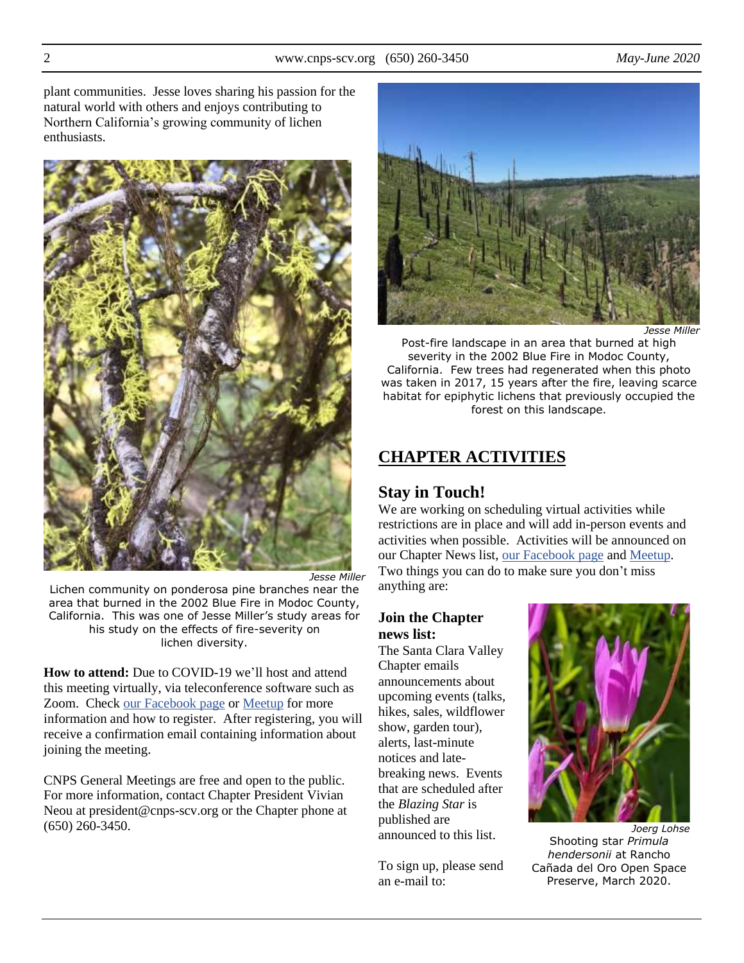plant communities. Jesse loves sharing his passion for the natural world with others and enjoys contributing to Northern California's growing community of lichen enthusiasts.



Lichen community on ponderosa pine branches near the area that burned in the 2002 Blue Fire in Modoc County, California. This was one of Jesse Miller's study areas for his study on the effects of fire-severity on lichen diversity.

**How to attend:** Due to COVID-19 we'll host and attend this meeting virtually, via teleconference software such as Zoom. Check [our Facebook page](https://www.facebook.com/scv.cnps/) o[r Meetup](https://www.meetup.com/California-Native-Plant-Society-Santa-Clara-Valley-Chapter/) for more information and how to register. After registering, you will receive a confirmation email containing information about joining the meeting.

CNPS General Meetings are free and open to the public. For more information, contact Chapter President Vivian Neou at president@cnps-scv.org or the Chapter phone at (650) 260-3450.



*Jesse Miller*

Post-fire landscape in an area that burned at high severity in the 2002 Blue Fire in Modoc County, California. Few trees had regenerated when this photo was taken in 2017, 15 years after the fire, leaving scarce habitat for epiphytic lichens that previously occupied the forest on this landscape.

# **CHAPTER ACTIVITIES**

# **Stay in Touch!**

We are working on scheduling virtual activities while restrictions are in place and will add in-person events and activities when possible. Activities will be announced on our Chapter News list, [our Facebook page](https://www.facebook.com/scv.cnps) and [Meetup.](https://www.meetup.com/California-Native-Plant-Society-Santa-Clara-Valley-Chapter/) Two things you can do to make sure you don't miss anything are:

#### **Join the Chapter news list:**

The Santa Clara Valley Chapter emails announcements about upcoming events (talks, hikes, sales, wildflower show, garden tour), alerts, last-minute notices and latebreaking news. Events that are scheduled after the *Blazing Star* is published are announced to this list.

To sign up, please send an e-mail to:



*Joerg Lohse* Shooting star *Primula hendersonii* at Rancho Cañada del Oro Open Space Preserve, March 2020.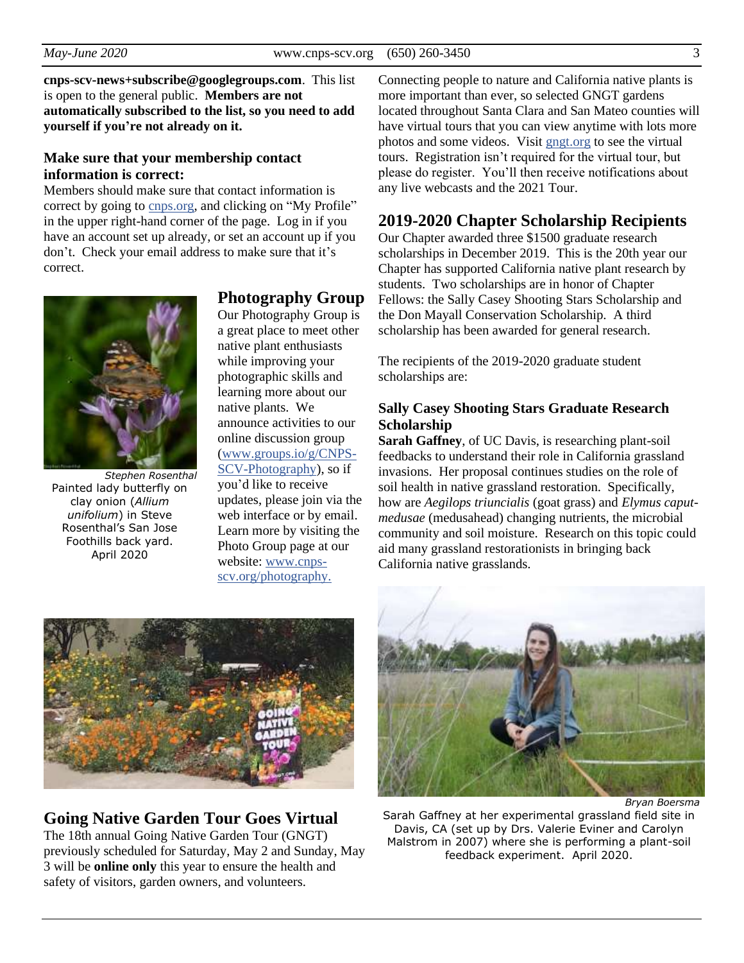#### **cnps-scv-news+subscribe@googlegroups.com**. This list is open to the general public. **Members are not automatically subscribed to the list, so you need to add yourself if you're not already on it.**

## **Make sure that your membership contact information is correct:**

Members should make sure that contact information is correct by going to [cnps.org,](https://cnps.org/) and clicking on "My Profile" in the upper right-hand corner of the page. Log in if you have an account set up already, or set an account up if you don't. Check your email address to make sure that it's correct.



*Stephen Rosenthal* Painted lady butterfly on clay onion (*Allium unifolium*) in Steve Rosenthal's San Jose Foothills back yard. April 2020

## **Photography Group**

Our Photography Group is a great place to meet other native plant enthusiasts while improving your photographic skills and learning more about our native plants. We announce activities to our online discussion group [\(www.groups.io/g/CNPS-](https://groups.io/g/CNPS-SCV-Photography)[SCV-Photography\)](https://groups.io/g/CNPS-SCV-Photography), so if you'd like to receive updates, please join via the web interface or by email. Learn more by visiting the Photo Group page at our website: [www.cnps](http://www.cnps-scv.org/photography)[scv.org/photography.](http://www.cnps-scv.org/photography)

Connecting people to nature and California native plants is more important than ever, so selected GNGT gardens located throughout Santa Clara and San Mateo counties will have virtual tours that you can view anytime with lots more photos and some videos. Visit [gngt.org](https://gngt.org/) to see the virtual tours. Registration isn't required for the virtual tour, but please do register. You'll then receive notifications about any live webcasts and the 2021 Tour.

# **2019-2020 Chapter Scholarship Recipients**

Our Chapter awarded three \$1500 graduate research scholarships in December 2019. This is the 20th year our Chapter has supported California native plant research by students. Two scholarships are in honor of Chapter Fellows: the Sally Casey Shooting Stars Scholarship and the Don Mayall Conservation Scholarship. A third scholarship has been awarded for general research.

The recipients of the 2019-2020 graduate student scholarships are:

## **Sally Casey Shooting Stars Graduate Research Scholarship**

**Sarah Gaffney**, of UC Davis, is researching plant-soil feedbacks to understand their role in California grassland invasions. Her proposal continues studies on the role of soil health in native grassland restoration. Specifically, how are *Aegilops triuncialis* (goat grass) and *Elymus caputmedusae* (medusahead) changing nutrients, the microbial community and soil moisture. Research on this topic could aid many grassland restorationists in bringing back California native grasslands.



# **Going Native Garden Tour Goes Virtual**

The 18th annual Going Native Garden Tour (GNGT) previously scheduled for Saturday, May 2 and Sunday, May 3 will be **online only** this year to ensure the health and safety of visitors, garden owners, and volunteers.



*Bryan Boersma*

Sarah Gaffney at her experimental grassland field site in Davis, CA (set up by Drs. Valerie Eviner and Carolyn Malstrom in 2007) where she is performing a plant-soil feedback experiment. April 2020.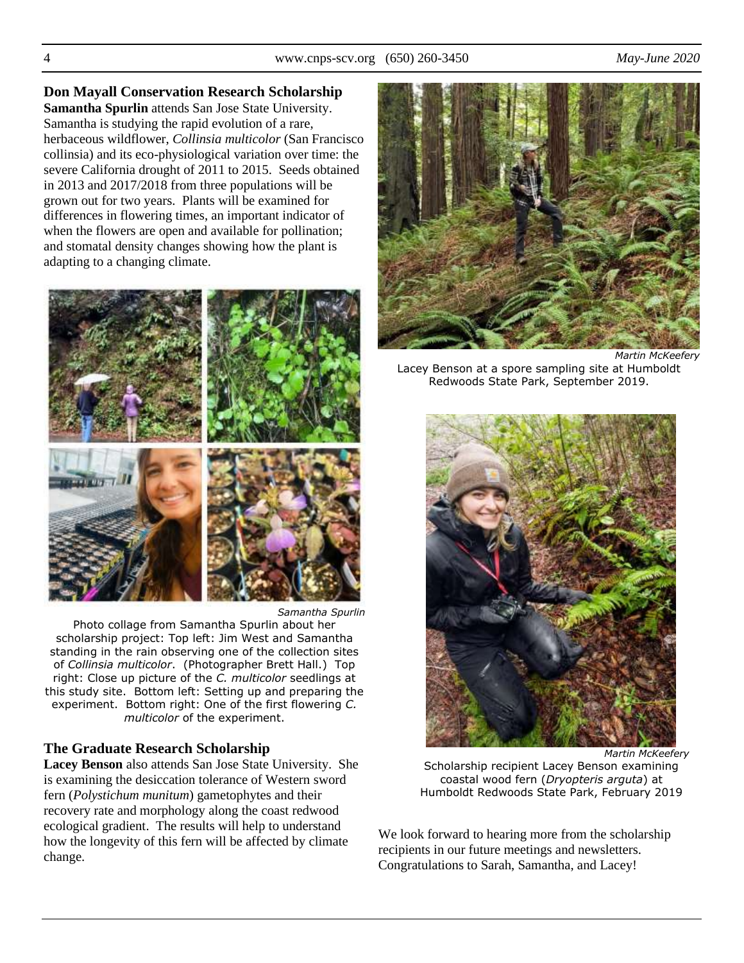**Don Mayall Conservation Research Scholarship Samantha Spurlin** attends San Jose State University. Samantha is studying the rapid evolution of a rare, herbaceous wildflower, *Collinsia multicolor* (San Francisco collinsia) and its eco-physiological variation over time: the severe California drought of 2011 to 2015. Seeds obtained in 2013 and 2017/2018 from three populations will be grown out for two years. Plants will be examined for differences in flowering times, an important indicator of when the flowers are open and available for pollination; and stomatal density changes showing how the plant is adapting to a changing climate.



Photo collage from Samantha Spurlin about her scholarship project: Top left: Jim West and Samantha standing in the rain observing one of the collection sites of *Collinsia multicolor*. (Photographer Brett Hall.) Top right: Close up picture of the *C. multicolor* seedlings at this study site. Bottom left: Setting up and preparing the experiment. Bottom right: One of the first flowering *C. multicolor* of the experiment.

## **The Graduate Research Scholarship**

**Lacey Benson** also attends San Jose State University. She is examining the desiccation tolerance of Western sword fern (*Polystichum munitum*) gametophytes and their recovery rate and morphology along the coast redwood ecological gradient. The results will help to understand how the longevity of this fern will be affected by climate change.



*Martin McKeefery* Lacey Benson at a spore sampling site at Humboldt Redwoods State Park, September 2019.



*Martin McKeefery*

Scholarship recipient Lacey Benson examining coastal wood fern (*Dryopteris arguta*) at Humboldt Redwoods State Park, February 2019

We look forward to hearing more from the scholarship recipients in our future meetings and newsletters. Congratulations to Sarah, Samantha, and Lacey!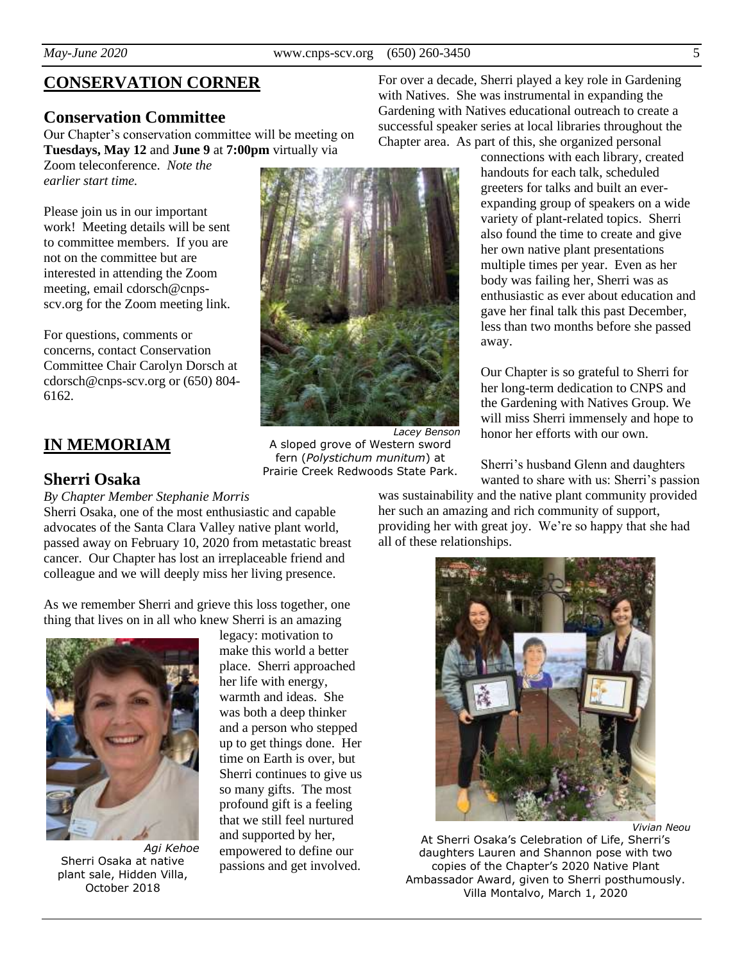# **CONSERVATION CORNER**

## **Conservation Committee**

Our Chapter's conservation committee will be meeting on **Tuesdays, May 12** and **June 9** at **7:00pm** virtually via

Zoom teleconference. *Note the earlier start time.*

Please join us in our important work! Meeting details will be sent to committee members. If you are not on the committee but are interested in attending the Zoom meeting, email cdorsch@cnpsscv.org for the Zoom meeting link.

For questions, comments or concerns, contact Conservation Committee Chair Carolyn Dorsch at cdorsch@cnps-scv.org or (650) 804- 6162.

# **IN MEMORIAM**

## **Sherri Osaka**

*By Chapter Member Stephanie Morris*

Sherri Osaka, one of the most enthusiastic and capable advocates of the Santa Clara Valley native plant world, passed away on February 10, 2020 from metastatic breast cancer. Our Chapter has lost an irreplaceable friend and colleague and we will deeply miss her living presence.

As we remember Sherri and grieve this loss together, one thing that lives on in all who knew Sherri is an amazing



*Agi Kehoe* Sherri Osaka at native plant sale, Hidden Villa, October 2018

legacy: motivation to make this world a better place. Sherri approached her life with energy, warmth and ideas. She was both a deep thinker and a person who stepped up to get things done. Her time on Earth is over, but Sherri continues to give us so many gifts. The most profound gift is a feeling that we still feel nurtured and supported by her, empowered to define our passions and get involved.



*Lacey Benson* A sloped grove of Western sword fern (*Polystichum munitum*) at Prairie Creek Redwoods State Park.

For over a decade, Sherri played a key role in Gardening with Natives. She was instrumental in expanding the Gardening with Natives educational outreach to create a successful speaker series at local libraries throughout the Chapter area. As part of this, she organized personal

> connections with each library, created handouts for each talk, scheduled greeters for talks and built an everexpanding group of speakers on a wide variety of plant-related topics. Sherri also found the time to create and give her own native plant presentations multiple times per year. Even as her body was failing her, Sherri was as enthusiastic as ever about education and gave her final talk this past December, less than two months before she passed away.

Our Chapter is so grateful to Sherri for her long-term dedication to CNPS and the Gardening with Natives Group. We will miss Sherri immensely and hope to honor her efforts with our own.

Sherri's husband Glenn and daughters wanted to share with us: Sherri's passion

was sustainability and the native plant community provided her such an amazing and rich community of support, providing her with great joy. We're so happy that she had all of these relationships.



*Vivian Neou*

At Sherri Osaka's Celebration of Life, Sherri's daughters Lauren and Shannon pose with two copies of the Chapter's 2020 Native Plant Ambassador Award, given to Sherri posthumously. Villa Montalvo, March 1, 2020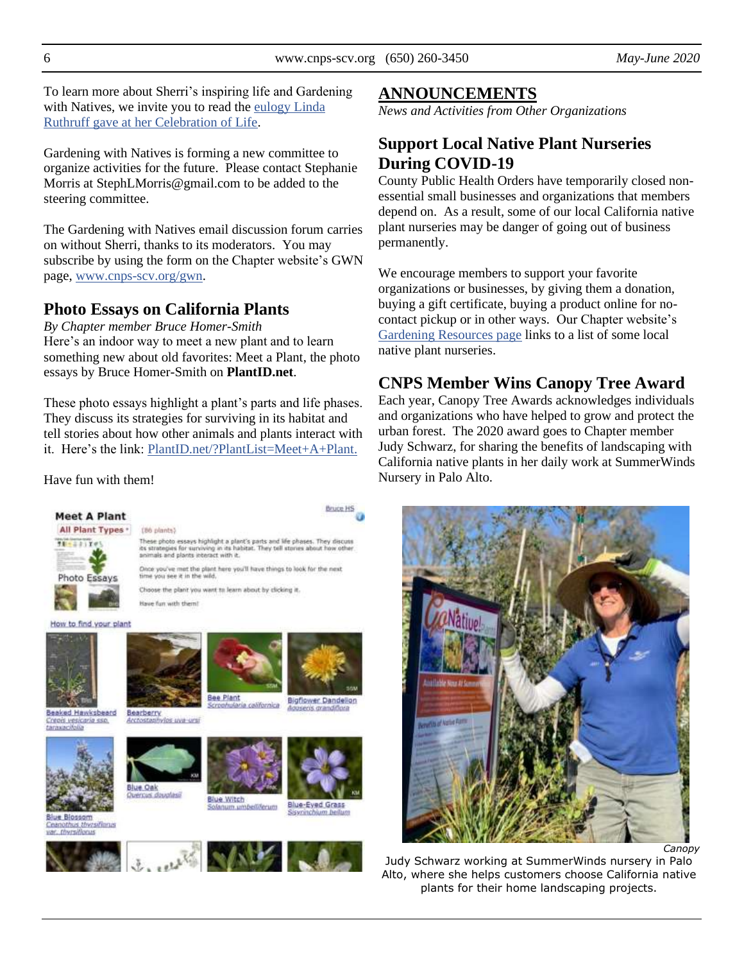To learn more about Sherri's inspiring life and Gardening with Natives, we invite you to read the eulogy Linda [Ruthruff gave at her Celebration of Life.](http://cnps-scv.org/images/BlazingStar/sherri-osaka-eulogy.pdf)

Gardening with Natives is forming a new committee to organize activities for the future. Please contact Stephanie Morris at StephLMorris@gmail.com to be added to the steering committee.

The Gardening with Natives email discussion forum carries on without Sherri, thanks to its moderators. You may subscribe by using the form on the Chapter website's GWN page, [www.cnps-scv.org/gwn.](http://www.cnps-scv.org/gwn)

# **Photo Essays on California Plants**

*By Chapter member Bruce Homer-Smith* Here's an indoor way to meet a new plant and to learn something new about old favorites: Meet a Plant, the photo essays by Bruce Homer-Smith on **PlantID.net**.

These photo essays highlight a plant's parts and life phases. They discuss its strategies for surviving in its habitat and tell stories about how other animals and plants interact with it. Here's the link: [PlantID.net/?PlantList=Meet+A+Plant.](https://plantid.net/?PlantList=Meet+A+Plant)

Have fun with them!



Bigflower Dandelion la californica

Bearberry vios uva ursi Arctost



Beaked Hawksbeard

Creois vesicaria sso.

taraxacitolo

**Blue Blossom** Ceanothus thyrsifianas var. thyrsificrus

Blue Oak us douglassi





Blue-Eyed Grass m.umbell/lerum



## **ANNOUNCEMENTS**

*News and Activities from Other Organizations*

# **Support Local Native Plant Nurseries During COVID-19**

County Public Health Orders have temporarily closed nonessential small businesses and organizations that members depend on. As a result, some of our local California native plant nurseries may be danger of going out of business permanently.

We encourage members to support your favorite organizations or businesses, by giving them a donation, buying a gift certificate, buying a product online for nocontact pickup or in other ways. Our Chapter website's [Gardening Resources page](http://cnps-scv.org/gardening/gardening-resources/) links to a list of some local native plant nurseries.

# **CNPS Member Wins Canopy Tree Award**

Each year, Canopy Tree Awards acknowledges individuals and organizations who have helped to grow and protect the urban forest. The 2020 award goes to Chapter member Judy Schwarz, for sharing the benefits of landscaping with California native plants in her daily work at SummerWinds Nursery in Palo Alto.



Judy Schwarz working at SummerWinds nursery in Palo Alto, where she helps customers choose California native plants for their home landscaping projects.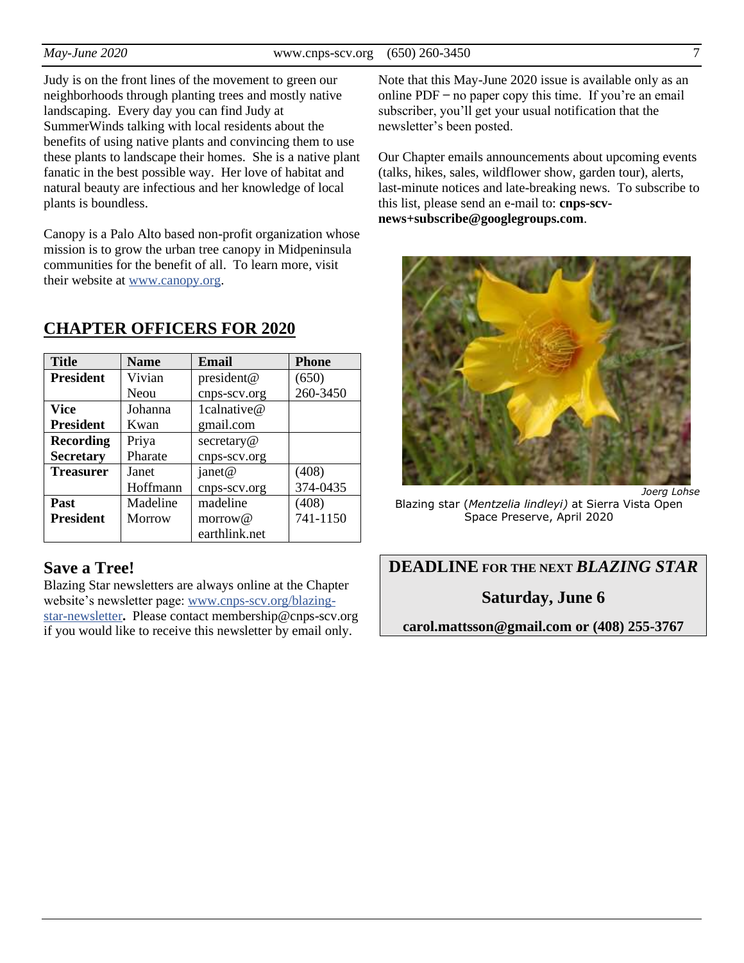Judy is on the front lines of the movement to green our neighborhoods through planting trees and mostly native landscaping. Every day you can find Judy at SummerWinds talking with local residents about the benefits of using native plants and convincing them to use these plants to landscape their homes. She is a native plant fanatic in the best possible way. Her love of habitat and natural beauty are infectious and her knowledge of local plants is boundless.

Canopy is a Palo Alto based non-profit organization whose mission is to grow the urban tree canopy in Midpeninsula communities for the benefit of all. To learn more, visit their website at [www.canopy.org.](https://canopy.org/)

| <b>Title</b>     | <b>Name</b> | <b>Email</b>  | <b>Phone</b> |
|------------------|-------------|---------------|--------------|
| <b>President</b> | Vivian      | president@    | (650)        |
|                  | Neou        | cnps-scv.org  | 260-3450     |
| <b>Vice</b>      | Johanna     | 1calnative@   |              |
| <b>President</b> | Kwan        | gmail.com     |              |
| <b>Recording</b> | Priya       | secretary@    |              |
| <b>Secretary</b> | Pharate     | cnps-scv.org  |              |
| <b>Treasurer</b> | Janet       | janet@        | (408)        |
|                  | Hoffmann    | cnps-scv.org  | 374-0435     |
| Past             | Madeline    | madeline      | (408)        |
| <b>President</b> | Morrow      | morrow@       | 741-1150     |
|                  |             | earthlink.net |              |

## **CHAPTER OFFICERS FOR 2020**

# **Save a Tree!**

Blazing Star newsletters are always online at the Chapter website's newsletter page: [www.cnps-scv.org/blazing](http://www.cnps-scv.org/index.php/blazing-star-newsletter)[star-newsletter](http://www.cnps-scv.org/index.php/blazing-star-newsletter)**.** Please contact membership@cnps-scv.org if you would like to receive this newsletter by email only.

Note that this May-June 2020 issue is available only as an online  $PDF - no$  paper copy this time. If you're an email subscriber, you'll get your usual notification that the newsletter's been posted.

Our Chapter emails announcements about upcoming events (talks, hikes, sales, wildflower show, garden tour), alerts, last-minute notices and late-breaking news. To subscribe to this list, please send an e-mail to: **cnps-scvnews+subscribe@googlegroups.com**.



*Joerg Lohse* Blazing star (*Mentzelia lindleyi)* at Sierra Vista Open Space Preserve, April 2020

**DEADLINE FOR THE NEXT** *BLAZING STAR*

**Saturday, June 6**

**carol.mattsson@gmail.com or (408) 255-3767**